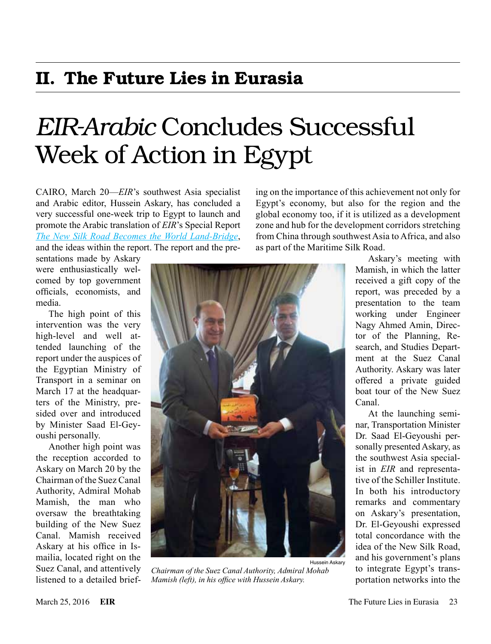### II. The Future Lies in Eurasia

# *EIR-Arabic* Concludes Successful Week of Action in Egypt

CAIRO, March 20—*EIR*'s southwest Asia specialist and Arabic editor, Hussein Askary, has concluded a very successful one-week trip to Egypt to launch and promote the Arabic translation of *EIR*'s Special Report *[The New Silk Road Becomes the World Land-Bridge](https://worldlandbridge.com/store/#!/Chinese-Language-The-New-Silk-Road-Becomes-the-World-Land-Bridge-PDF/p/63416141/category=14889212)*, and the ideas within the report. The report and the pre-

sentations made by Askary were enthusiastically welcomed by top government officials, economists, and media.

The high point of this intervention was the very high-level and well attended launching of the report under the auspices of the Egyptian Ministry of Transport in a seminar on March 17 at the headquarters of the Ministry, presided over and introduced by Minister Saad El-Geyoushi personally.

Another high point was the reception accorded to Askary on March 20 by the Chairman of the Suez Canal Authority, Admiral Mohab Mamish, the man who oversaw the breathtaking building of the New Suez Canal. Mamish received Askary at his office in Ismailia, located right on the Suez Canal, and attentively listened to a detailed briefing on the importance of this achievement not only for Egypt's economy, but also for the region and the global economy too, if it is utilized as a development zone and hub for the development corridors stretching from China through southwest Asia to Africa, and also as part of the Maritime Silk Road.



*Chairman of the Suez Canal Authority, Admiral Mohab Mamish (left), in his office with Hussein Askary.*

Askary's meeting with Mamish, in which the latter received a gift copy of the report, was preceded by a presentation to the team working under Engineer Nagy Ahmed Amin, Director of the Planning, Research, and Studies Department at the Suez Canal Authority. Askary was later offered a private guided boat tour of the New Suez Canal.

At the launching seminar, Transportation Minister Dr. Saad El-Geyoushi personally presented Askary, as the southwest Asia specialist in *EIR* and representative of the Schiller Institute. In both his introductory remarks and commentary on Askary's presentation, Dr. El-Geyoushi expressed total concordance with the idea of the New Silk Road, and his government's plans to integrate Egypt's transportation networks into the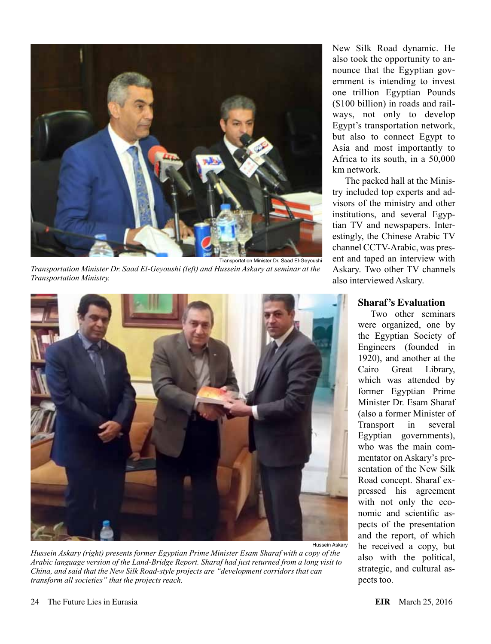

*Transportation Minister Dr. Saad El-Geyoushi (left) and Hussein Askary at seminar at the Transportation Ministry.*



*Hussein Askary (right) presents former Egyptian Prime Minister Esam Sharaf with a copy of the Arabic language version of the Land-Bridge Report. Sharaf had just returned from a long visit to China, and said that the New Silk Road-style projects are "development corridors that can transform all societies" that the projects reach.*

New Silk Road dynamic. He also took the opportunity to announce that the Egyptian government is intending to invest one trillion Egyptian Pounds (\$100 billion) in roads and railways, not only to develop Egypt's transportation network, but also to connect Egypt to Asia and most importantly to Africa to its south, in a 50,000 km network.

The packed hall at the Ministry included top experts and advisors of the ministry and other institutions, and several Egyptian TV and newspapers. Interestingly, the Chinese Arabic TV channel CCTV-Arabic, was present and taped an interview with Askary. Two other TV channels also interviewed Askary.

#### **Sharaf's Evaluation**

Two other seminars were organized, one by the Egyptian Society of Engineers (founded in 1920), and another at the Cairo Great Library, which was attended by former Egyptian Prime Minister Dr. Esam Sharaf (also a former Minister of Transport in several Egyptian governments), who was the main commentator on Askary's presentation of the New Silk Road concept. Sharaf expressed his agreement with not only the economic and scientific aspects of the presentation and the report, of which he received a copy, but also with the political, strategic, and cultural aspects too.